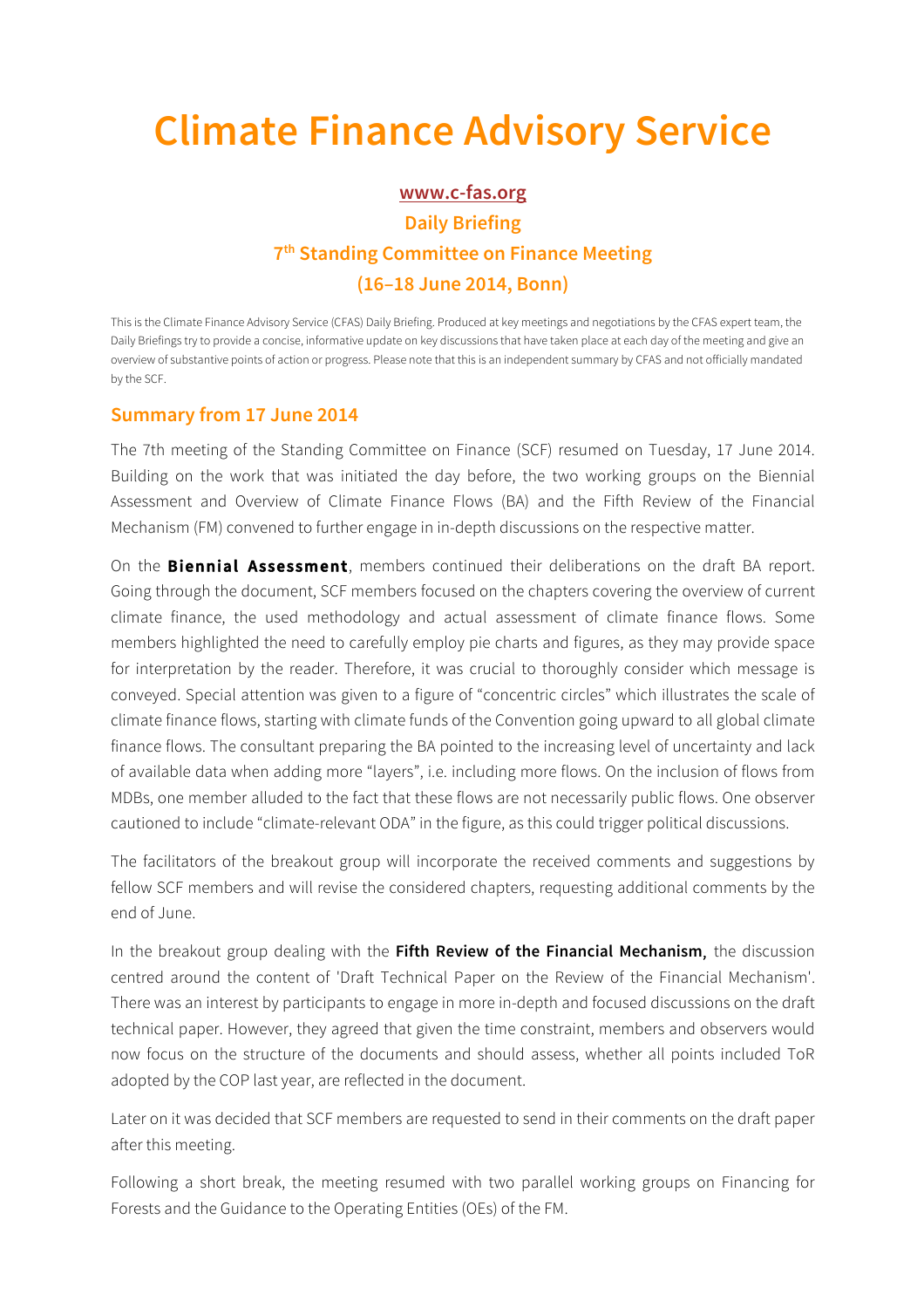## **Climate Finance Advisory Service**

## **www.c-fas.org**

## **Daily Briefing 7th Standing Committee on Finance Meeting (16–18 June 2014, Bonn)**

This is the Climate Finance Advisory Service (CFAS) Daily Briefing. Produced at key meetings and negotiations by the CFAS expert team, the Daily Briefings try to provide a concise, informative update on key discussions that have taken place at each day of the meeting and give an overview of substantive points of action or progress. Please note that this is an independent summary by CFAS and not officially mandated by the SCF.

## **Summary from 17 June 2014**

The 7th meeting of the Standing Committee on Finance (SCF) resumed on Tuesday, 17 June 2014. Building on the work that was initiated the day before, the two working groups on the Biennial Assessment and Overview of Climate Finance Flows (BA) and the Fifth Review of the Financial Mechanism (FM) convened to further engage in in-depth discussions on the respective matter.

On the **Biennial Assessment**, members continued their deliberations on the draft BA report. Going through the document, SCF members focused on the chapters covering the overview of current climate finance, the used methodology and actual assessment of climate finance flows. Some members highlighted the need to carefully employ pie charts and figures, as they may provide space for interpretation by the reader. Therefore, it was crucial to thoroughly consider which message is conveyed. Special attention was given to a figure of "concentric circles" which illustrates the scale of climate finance flows, starting with climate funds of the Convention going upward to all global climate finance flows. The consultant preparing the BA pointed to the increasing level of uncertainty and lack of available data when adding more "layers", i.e. including more flows. On the inclusion of flows from MDBs, one member alluded to the fact that these flows are not necessarily public flows. One observer cautioned to include "climate-relevant ODA" in the figure, as this could trigger political discussions.

The facilitators of the breakout group will incorporate the received comments and suggestions by fellow SCF members and will revise the considered chapters, requesting additional comments by the end of June.

In the breakout group dealing with the **Fifth Review of the Financial Mechanism**, the discussion centred around the content of 'Draft Technical Paper on the Review of the Financial Mechanism'. There was an interest by participants to engage in more in-depth and focused discussions on the draft technical paper. However, they agreed that given the time constraint, members and observers would now focus on the structure of the documents and should assess, whether all points included ToR adopted by the COP last year, are reflected in the document.

Later on it was decided that SCF members are requested to send in their comments on the draft paper after this meeting.

Following a short break, the meeting resumed with two parallel working groups on Financing for Forests and the Guidance to the Operating Entities (OEs) of the FM.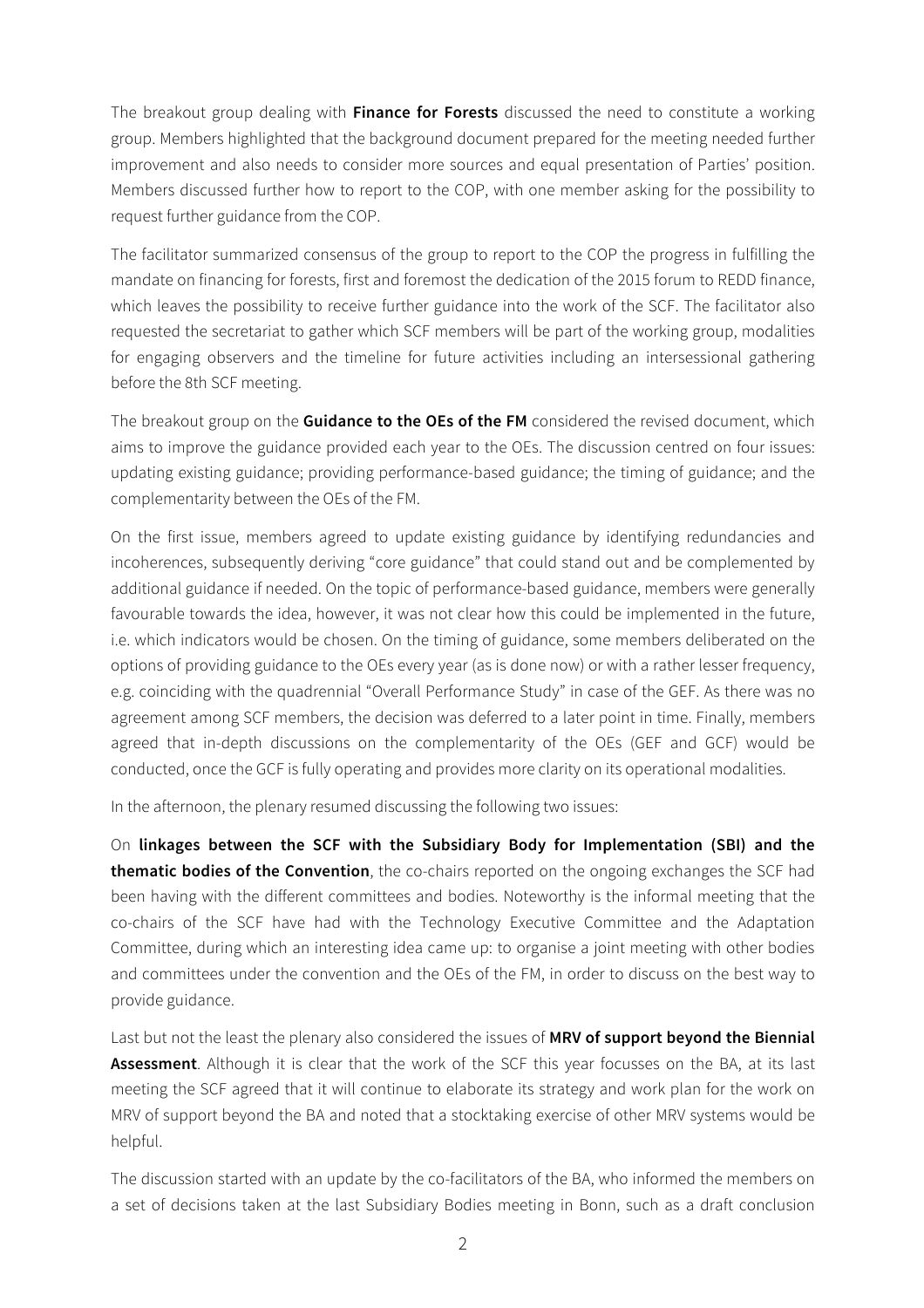The breakout group dealing with **Finance for Forests** discussed the need to constitute a working group. Members highlighted that the background document prepared for the meeting needed further improvement and also needs to consider more sources and equal presentation of Parties' position. Members discussed further how to report to the COP, with one member asking for the possibility to request further guidance from the COP.

The facilitator summarized consensus of the group to report to the COP the progress in fulfilling the mandate on financing for forests, first and foremost the dedication of the 2015 forum to REDD finance, which leaves the possibility to receive further guidance into the work of the SCF. The facilitator also requested the secretariat to gather which SCF members will be part of the working group, modalities for engaging observers and the timeline for future activities including an intersessional gathering before the 8th SCF meeting.

The breakout group on the **Guidance to the OEs of the FM** considered the revised document, which aims to improve the guidance provided each year to the OEs. The discussion centred on four issues: updating existing guidance; providing performance-based guidance; the timing of guidance; and the complementarity between the OEs of the FM.

On the first issue, members agreed to update existing guidance by identifying redundancies and incoherences, subsequently deriving "core guidance" that could stand out and be complemented by additional guidance if needed. On the topic of performance-based guidance, members were generally favourable towards the idea, however, it was not clear how this could be implemented in the future, i.e. which indicators would be chosen. On the timing of guidance, some members deliberated on the options of providing guidance to the OEs every year (as is done now) or with a rather lesser frequency, e.g. coinciding with the quadrennial "Overall Performance Study" in case of the GEF. As there was no agreement among SCF members, the decision was deferred to a later point in time. Finally, members agreed that in-depth discussions on the complementarity of the OEs (GEF and GCF) would be conducted, once the GCF is fully operating and provides more clarity on its operational modalities.

In the afternoon, the plenary resumed discussing the following two issues:

On **linkages between the SCF with the Subsidiary Body for Implementation (SBI) and the thematic bodies of the Convention**, the co-chairs reported on the ongoing exchanges the SCF had been having with the different committees and bodies. Noteworthy is the informal meeting that the co-chairs of the SCF have had with the Technology Executive Committee and the Adaptation Committee, during which an interesting idea came up: to organise a joint meeting with other bodies and committees under the convention and the OEs of the FM, in order to discuss on the best way to provide guidance.

Last but not the least the plenary also considered the issues of **MRV of support beyond the Biennial Assessment**. Although it is clear that the work of the SCF this year focusses on the BA, at its last meeting the SCF agreed that it will continue to elaborate its strategy and work plan for the work on MRV of support beyond the BA and noted that a stocktaking exercise of other MRV systems would be helpful.

The discussion started with an update by the co-facilitators of the BA, who informed the members on a set of decisions taken at the last Subsidiary Bodies meeting in Bonn, such as a draft conclusion